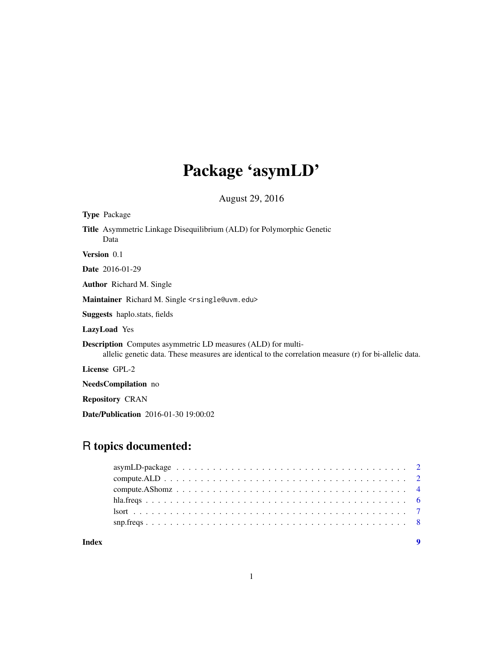# Package 'asymLD'

August 29, 2016

| <b>Type</b> Package                                                                                                                                                           |
|-------------------------------------------------------------------------------------------------------------------------------------------------------------------------------|
| <b>Title</b> Asymmetric Linkage Disequilibrium (ALD) for Polymorphic Genetic<br>Data                                                                                          |
| <b>Version</b> 0.1                                                                                                                                                            |
| <b>Date</b> 2016-01-29                                                                                                                                                        |
| <b>Author</b> Richard M. Single                                                                                                                                               |
| Maintainer Richard M. Single <rsingle@uvm.edu></rsingle@uvm.edu>                                                                                                              |
| <b>Suggests</b> haplo.stats, fields                                                                                                                                           |
| <b>LazyLoad</b> Yes                                                                                                                                                           |
| <b>Description</b> Computes asymmetric LD measures (ALD) for multi-<br>allelic genetic data. These measures are identical to the correlation measure (r) for bi-allelic data. |
| License GPL-2                                                                                                                                                                 |
| <b>NeedsCompilation</b> no                                                                                                                                                    |
|                                                                                                                                                                               |

Repository CRAN

Date/Publication 2016-01-30 19:00:02

# R topics documented:

| Index |  |
|-------|--|
|       |  |
|       |  |
|       |  |
|       |  |
|       |  |
|       |  |

1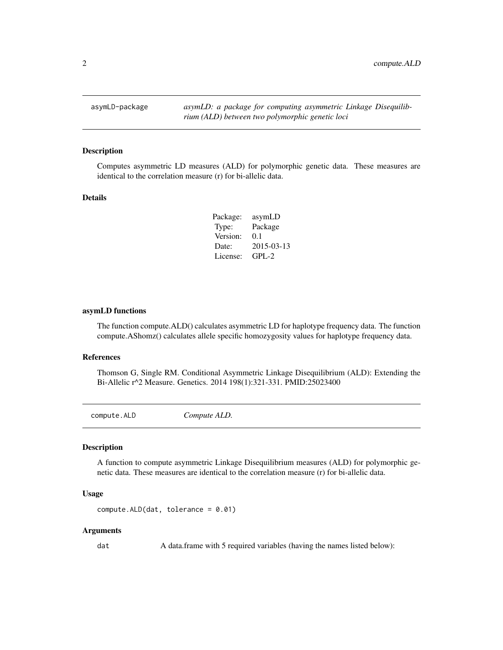<span id="page-1-0"></span>

#### Description

Computes asymmetric LD measures (ALD) for polymorphic genetic data. These measures are identical to the correlation measure (r) for bi-allelic data.

# Details

| Package: | asymLD     |
|----------|------------|
| Type:    | Package    |
| Version: | 0.1        |
| Date:    | 2015-03-13 |
| License: | $GPI - 2$  |

# asymLD functions

The function compute.ALD() calculates asymmetric LD for haplotype frequency data. The function compute.AShomz() calculates allele specific homozygosity values for haplotype frequency data.

#### References

Thomson G, Single RM. Conditional Asymmetric Linkage Disequilibrium (ALD): Extending the Bi-Allelic r^2 Measure. Genetics. 2014 198(1):321-331. PMID:25023400

compute.ALD *Compute ALD.*

# Description

A function to compute asymmetric Linkage Disequilibrium measures (ALD) for polymorphic genetic data. These measures are identical to the correlation measure (r) for bi-allelic data.

#### Usage

```
compute.ALD(dat, tolerance = 0.01)
```
#### Arguments

dat A data.frame with 5 required variables (having the names listed below):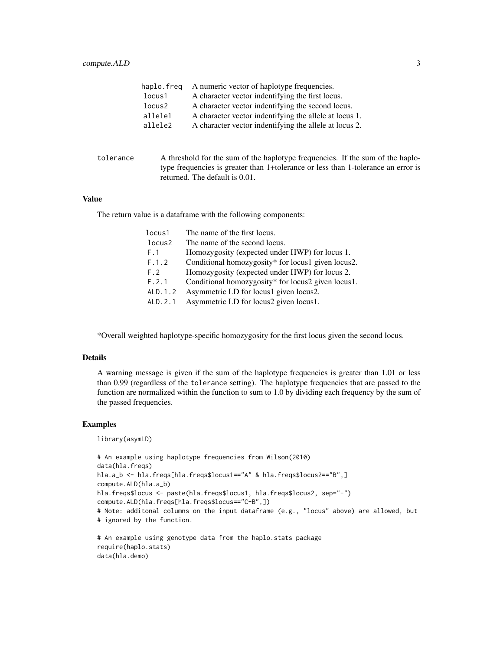| haplo.freq | A numeric vector of haplotype frequencies.             |
|------------|--------------------------------------------------------|
| locus1     | A character vector indentifying the first locus.       |
| locus2     | A character vector indentifying the second locus.      |
| allele1    | A character vector indentifying the allele at locus 1. |
| allele2    | A character vector indentifying the allele at locus 2. |

| tolerance | A threshold for the sum of the haplotype frequencies. If the sum of the haplo-    |
|-----------|-----------------------------------------------------------------------------------|
|           | type frequencies is greater than 1+tolerance or less than 1-tolerance an error is |
|           | returned. The default is 0.01.                                                    |

# Value

The return value is a dataframe with the following components:

| locus1   | The name of the first locus.                       |
|----------|----------------------------------------------------|
| locus2   | The name of the second locus.                      |
| F.1      | Homozygosity (expected under HWP) for locus 1.     |
| F.1.2    | Conditional homozygosity* for locus1 given locus2. |
| F.2      | Homozygosity (expected under HWP) for locus 2.     |
| F.2.1    | Conditional homozygosity* for locus2 given locus1. |
| ALD. 1.2 | Asymmetric LD for locus1 given locus2.             |
| ALD. 2.1 | Asymmetric LD for locus2 given locus1.             |

\*Overall weighted haplotype-specific homozygosity for the first locus given the second locus.

#### Details

A warning message is given if the sum of the haplotype frequencies is greater than 1.01 or less than 0.99 (regardless of the tolerance setting). The haplotype frequencies that are passed to the function are normalized within the function to sum to 1.0 by dividing each frequency by the sum of the passed frequencies.

# Examples

library(asymLD)

```
# An example using haplotype frequencies from Wilson(2010)
data(hla.freqs)
hla.a_b <- hla.freqs[hla.freqs$locus1=="A" & hla.freqs$locus2=="B",]
compute.ALD(hla.a_b)
hla.freqs$locus <- paste(hla.freqs$locus1, hla.freqs$locus2, sep="-")
compute.ALD(hla.freqs[hla.freqs$locus=="C-B",])
# Note: additonal columns on the input dataframe (e.g., "locus" above) are allowed, but
# ignored by the function.
```

```
# An example using genotype data from the haplo.stats package
require(haplo.stats)
data(hla.demo)
```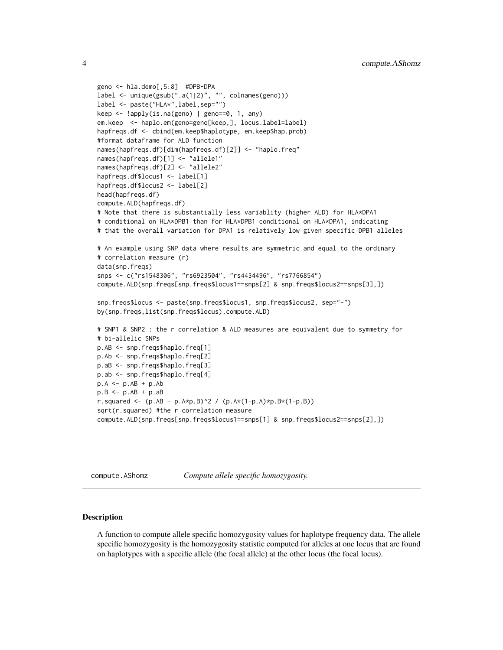```
geno <- hla.demo[,5:8] #DPB-DPA
label <- unique(gsub(".a(1|2)", "", colnames(geno)))
label <- paste("HLA*",label,sep="")
keep <- !apply(is.na(geno) | geno==0, 1, any)
em.keep <- haplo.em(geno=geno[keep,], locus.label=label)
hapfreqs.df <- cbind(em.keep$haplotype, em.keep$hap.prob)
#format dataframe for ALD function
names(hapfreqs.df)[dim(hapfreqs.df)[2]] <- "haplo.freq"
names(hapfreqs.df)[1] <- "allele1"
names(hapfreqs.df)[2] <- "allele2"
hapfreqs.df$locus1 <- label[1]
hapfreqs.df$locus2 <- label[2]
head(hapfreqs.df)
compute.ALD(hapfreqs.df)
# Note that there is substantially less variablity (higher ALD) for HLA*DPA1
# conditional on HLA*DPB1 than for HLA*DPB1 conditional on HLA*DPA1, indicating
# that the overall variation for DPA1 is relatively low given specific DPB1 alleles
# An example using SNP data where results are symmetric and equal to the ordinary
# correlation measure (r)
data(snp.freqs)
snps <- c("rs1548306", "rs6923504", "rs4434496", "rs7766854")
compute.ALD(snp.freqs[snp.freqs$locus1==snps[2] & snp.freqs$locus2==snps[3],])
snp.freqs$locus <- paste(snp.freqs$locus1, snp.freqs$locus2, sep="-")
by(snp.freqs,list(snp.freqs$locus),compute.ALD)
# SNP1 & SNP2 : the r correlation & ALD measures are equivalent due to symmetry for
# bi-allelic SNPs
p.AB <- snp.freqs$haplo.freq[1]
p.Ab <- snp.freqs$haplo.freq[2]
p.aB <- snp.freqs$haplo.freq[3]
p.ab <- snp.freqs$haplo.freq[4]
p.A < -p.AB + p.Abp.B \le p.AB + p.aBr.squared <- (p.AB - p.A*p.B)^2 / (p.A*(1-p.A)*p.B*(1-p.B))sqrt(r.squared) #the r correlation measure
compute.ALD(snp.freqs[snp.freqs$locus1==snps[1] & snp.freqs$locus2==snps[2],])
```
compute.AShomz *Compute allele specific homozygosity.*

#### Description

A function to compute allele specific homozygosity values for haplotype frequency data. The allele specific homozygosity is the homozygosity statistic computed for alleles at one locus that are found on haplotypes with a specific allele (the focal allele) at the other locus (the focal locus).

<span id="page-3-0"></span>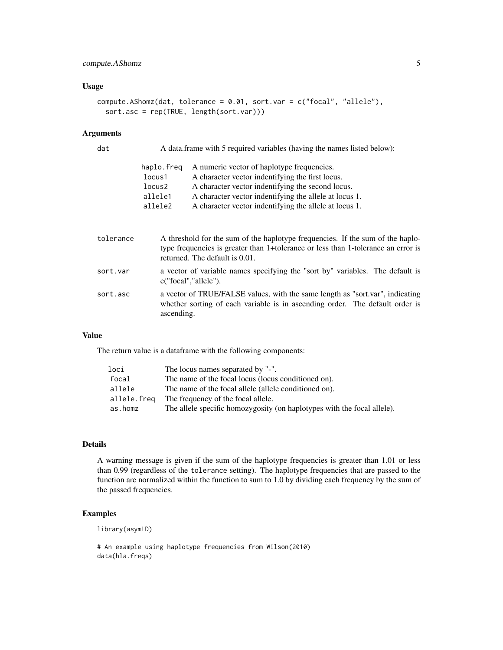# Usage

```
compute.AShomz(dat, tolerance = 0.01, sort.var = c("focal", "allele"),
  sort.asc = rep(TRUE, length(sort.var)))
```
## Arguments

| A data frame with 5 required variables (having the names listed below): |                                                        |
|-------------------------------------------------------------------------|--------------------------------------------------------|
| haplo.freq                                                              | A numeric vector of haplotype frequencies.             |
| locus1                                                                  | A character vector indentifying the first locus.       |
| locus2                                                                  | A character vector indentifying the second locus.      |
| allele1                                                                 | A character vector indentifying the allele at locus 1. |
| allele2                                                                 | A character vector indentifying the allele at locus 1. |
|                                                                         |                                                        |

| tolerance | A threshold for the sum of the haplotype frequencies. If the sum of the haplo-<br>type frequencies is greater than 1+tolerance or less than 1-tolerance an error is<br>returned. The default is 0.01. |
|-----------|-------------------------------------------------------------------------------------------------------------------------------------------------------------------------------------------------------|
| sort.var  | a vector of variable names specifying the "sort by" variables. The default is<br>c("focal", "allele").                                                                                                |
| sort.asc  | a vector of TRUE/FALSE values, with the same length as "sort.var", indicating<br>whether sorting of each variable is in ascending order. The default order is<br>ascending.                           |

# Value

The return value is a dataframe with the following components:

| loci        | The locus names separated by "-".                                       |
|-------------|-------------------------------------------------------------------------|
| focal       | The name of the focal locus (locus conditioned on).                     |
| allele      | The name of the focal allele (allele conditioned on).                   |
| allele.freq | The frequency of the focal allele.                                      |
| as.homz     | The allele specific homozygosity (on haplotypes with the focal allele). |

# Details

A warning message is given if the sum of the haplotype frequencies is greater than 1.01 or less than 0.99 (regardless of the tolerance setting). The haplotype frequencies that are passed to the function are normalized within the function to sum to 1.0 by dividing each frequency by the sum of the passed frequencies.

# Examples

library(asymLD)

```
# An example using haplotype frequencies from Wilson(2010)
data(hla.freqs)
```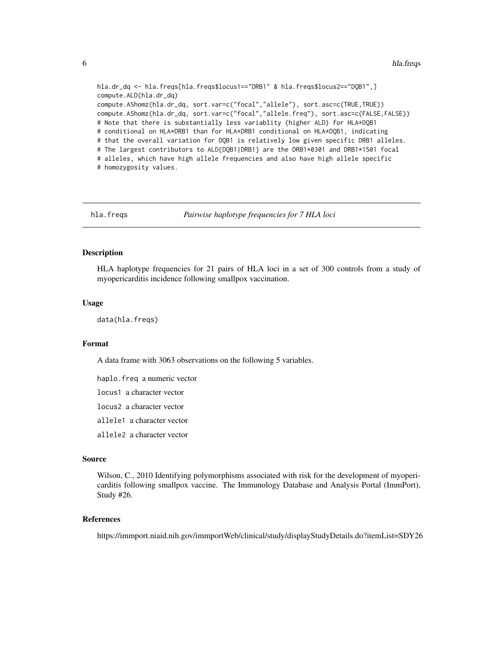hla.dr\_dq <- hla.freqs[hla.freqs\$locus1=="DRB1" & hla.freqs\$locus2=="DQB1",] compute.ALD(hla.dr\_dq) compute.AShomz(hla.dr\_dq, sort.var=c("focal","allele"), sort.asc=c(TRUE,TRUE)) compute.AShomz(hla.dr\_dq, sort.var=c("focal","allele.freq"), sort.asc=c(FALSE,FALSE)) # Note that there is substantially less variablity (higher ALD) for HLA\*DQB1 # conditional on HLA\*DRB1 than for HLA\*DRB1 conditional on HLA\*DQB1, indicating # that the overall variation for DQB1 is relatively low given specific DRB1 alleles. # The largest contributors to ALD{DQB1|DRB1} are the DRB1\*0301 and DRB1\*1501 focal # alleles, which have high allele frequencies and also have high allele specific # homozygosity values.

hla.freqs *Pairwise haplotype frequencies for 7 HLA loci*

### Description

HLA haplotype frequencies for 21 pairs of HLA loci in a set of 300 controls from a study of myopericarditis incidence following smallpox vaccination.

#### Usage

data(hla.freqs)

#### Format

A data frame with 3063 observations on the following 5 variables.

haplo.freq a numeric vector

locus1 a character vector

locus2 a character vector

allele1 a character vector

allele2 a character vector

#### Source

Wilson, C., 2010 Identifying polymorphisms associated with risk for the development of myopericarditis following smallpox vaccine. The Immunology Database and Analysis Portal (ImmPort), Study #26.

#### References

https://immport.niaid.nih.gov/immportWeb/clinical/study/displayStudyDetails.do?itemList=SDY26

<span id="page-5-0"></span>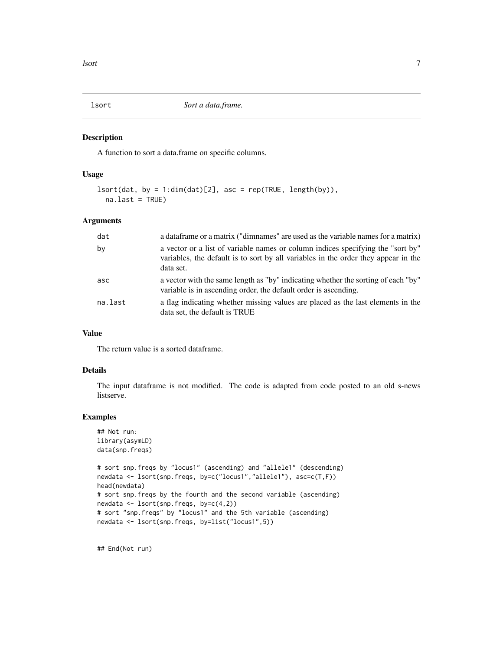<span id="page-6-0"></span>

#### Description

A function to sort a data.frame on specific columns.

# Usage

```
lsort(data, by = 1:dim(data)[2], asc = rep(TRUE, length(by)),na.last = TRUE)
```
# Arguments

| dat     | a data frame or a matrix ("dimnames" are used as the variable names for a matrix)                                                                                                  |
|---------|------------------------------------------------------------------------------------------------------------------------------------------------------------------------------------|
| by      | a vector or a list of variable names or column indices specifying the "sort by"<br>variables, the default is to sort by all variables in the order they appear in the<br>data set. |
| asc     | a vector with the same length as "by" indicating whether the sorting of each "by"<br>variable is in ascending order, the default order is ascending.                               |
| na.last | a flag indicating whether missing values are placed as the last elements in the<br>data set, the default is TRUE                                                                   |

# Value

The return value is a sorted dataframe.

# Details

The input dataframe is not modified. The code is adapted from code posted to an old s-news listserve.

# Examples

```
## Not run:
library(asymLD)
data(snp.freqs)
# sort snp.freqs by "locus1" (ascending) and "allele1" (descending)
newdata <- lsort(snp.freqs, by=c("locus1","allele1"), asc=c(T,F))
head(newdata)
# sort snp.freqs by the fourth and the second variable (ascending)
newdata <- lsort(snp.freqs, by=c(4,2))
# sort "snp.freqs" by "locus1" and the 5th variable (ascending)
newdata <- lsort(snp.freqs, by=list("locus1",5))
```
## End(Not run)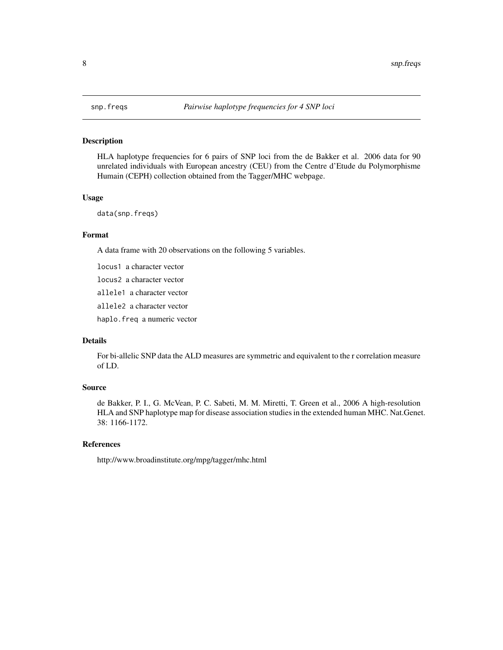# Description

HLA haplotype frequencies for 6 pairs of SNP loci from the de Bakker et al. 2006 data for 90 unrelated individuals with European ancestry (CEU) from the Centre d'Etude du Polymorphisme Humain (CEPH) collection obtained from the Tagger/MHC webpage.

# Usage

data(snp.freqs)

# Format

A data frame with 20 observations on the following 5 variables.

locus1 a character vector locus2 a character vector allele1 a character vector allele2 a character vector

haplo.freq a numeric vector

# Details

For bi-allelic SNP data the ALD measures are symmetric and equivalent to the r correlation measure of LD.

# Source

de Bakker, P. I., G. McVean, P. C. Sabeti, M. M. Miretti, T. Green et al., 2006 A high-resolution HLA and SNP haplotype map for disease association studies in the extended human MHC. Nat.Genet. 38: 1166-1172.

#### References

http://www.broadinstitute.org/mpg/tagger/mhc.html